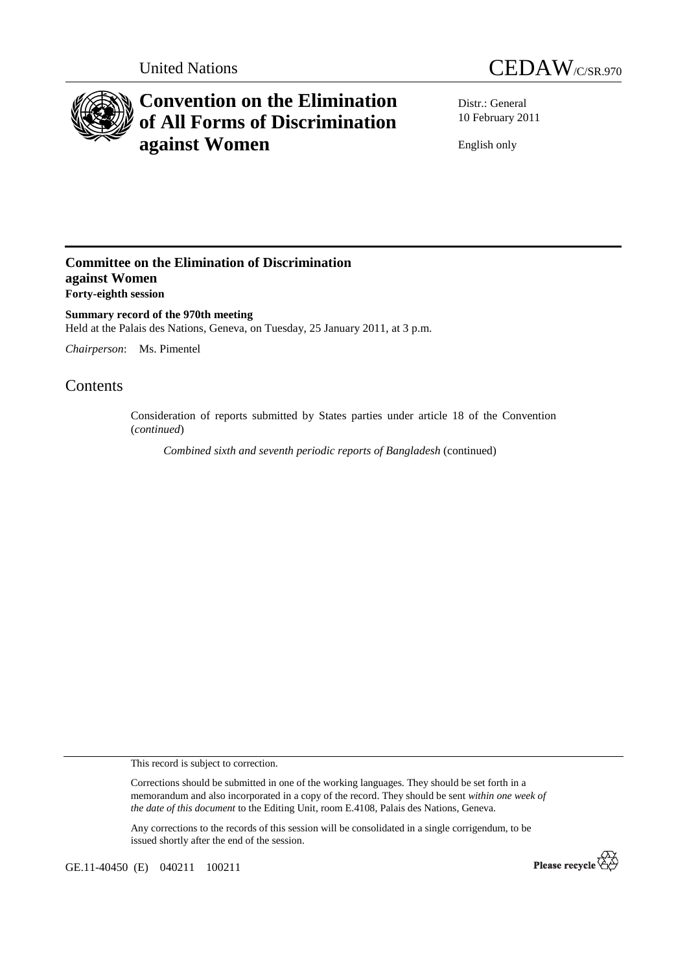



## **Convention on the Elimination of All Forms of Discrimination against Women**

Distr.: General 10 February 2011

English only

## **Committee on the Elimination of Discrimination against Women Forty-eighth session**

**Summary record of the 970th meeting**  Held at the Palais des Nations, Geneva, on Tuesday, 25 January 2011, at 3 p.m.

*Chairperson*: Ms. Pimentel

## Contents

Consideration of reports submitted by States parties under article 18 of the Convention (*continued*)

*Combined sixth and seventh periodic reports of Bangladesh* (continued)

This record is subject to correction.

Corrections should be submitted in one of the working languages. They should be set forth in a memorandum and also incorporated in a copy of the record. They should be sent *within one week of the date of this document* to the Editing Unit, room E.4108, Palais des Nations, Geneva.

Any corrections to the records of this session will be consolidated in a single corrigendum, to be issued shortly after the end of the session.

GE.11-40450 (E) 040211 100211

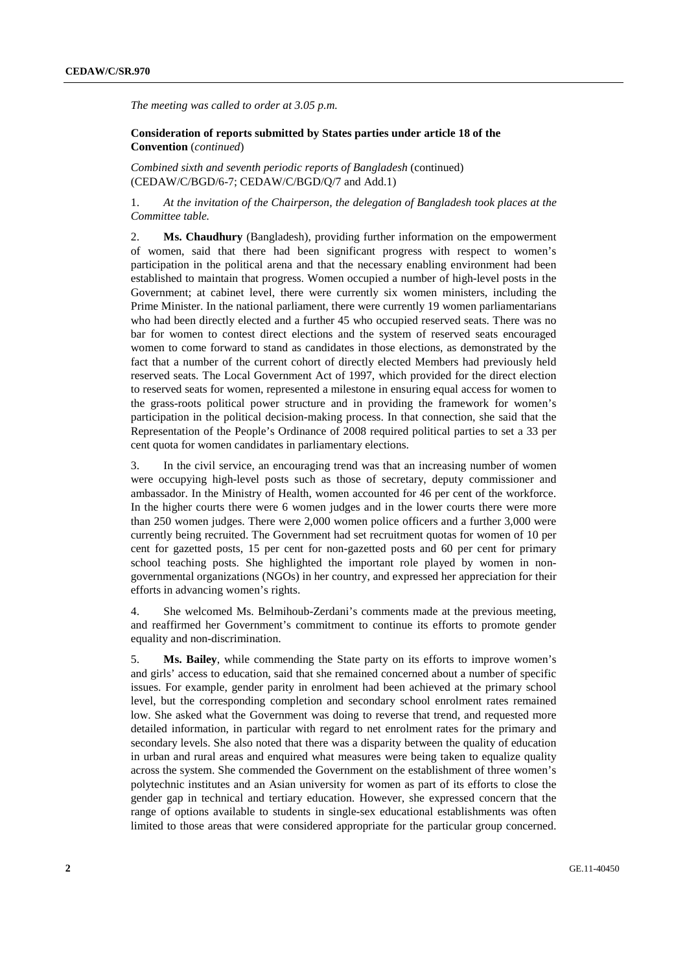*The meeting was called to order at 3.05 p.m.* 

 **Consideration of reports submitted by States parties under article 18 of the Convention** (*continued*)

*Combined sixth and seventh periodic reports of Bangladesh* (continued) (CEDAW/C/BGD/6-7; CEDAW/C/BGD/Q/7 and Add.1)

1. *At the invitation of the Chairperson, the delegation of Bangladesh took places at the Committee table.* 

2. **Ms. Chaudhury** (Bangladesh), providing further information on the empowerment of women, said that there had been significant progress with respect to women's participation in the political arena and that the necessary enabling environment had been established to maintain that progress. Women occupied a number of high-level posts in the Government; at cabinet level, there were currently six women ministers, including the Prime Minister. In the national parliament, there were currently 19 women parliamentarians who had been directly elected and a further 45 who occupied reserved seats. There was no bar for women to contest direct elections and the system of reserved seats encouraged women to come forward to stand as candidates in those elections, as demonstrated by the fact that a number of the current cohort of directly elected Members had previously held reserved seats. The Local Government Act of 1997, which provided for the direct election to reserved seats for women, represented a milestone in ensuring equal access for women to the grass-roots political power structure and in providing the framework for women's participation in the political decision-making process. In that connection, she said that the Representation of the People's Ordinance of 2008 required political parties to set a 33 per cent quota for women candidates in parliamentary elections.

3. In the civil service, an encouraging trend was that an increasing number of women were occupying high-level posts such as those of secretary, deputy commissioner and ambassador. In the Ministry of Health, women accounted for 46 per cent of the workforce. In the higher courts there were 6 women judges and in the lower courts there were more than 250 women judges. There were 2,000 women police officers and a further 3,000 were currently being recruited. The Government had set recruitment quotas for women of 10 per cent for gazetted posts, 15 per cent for non-gazetted posts and 60 per cent for primary school teaching posts. She highlighted the important role played by women in nongovernmental organizations (NGOs) in her country, and expressed her appreciation for their efforts in advancing women's rights.

4. She welcomed Ms. Belmihoub-Zerdani's comments made at the previous meeting, and reaffirmed her Government's commitment to continue its efforts to promote gender equality and non-discrimination.

5. **Ms. Bailey**, while commending the State party on its efforts to improve women's and girls' access to education, said that she remained concerned about a number of specific issues. For example, gender parity in enrolment had been achieved at the primary school level, but the corresponding completion and secondary school enrolment rates remained low. She asked what the Government was doing to reverse that trend, and requested more detailed information, in particular with regard to net enrolment rates for the primary and secondary levels. She also noted that there was a disparity between the quality of education in urban and rural areas and enquired what measures were being taken to equalize quality across the system. She commended the Government on the establishment of three women's polytechnic institutes and an Asian university for women as part of its efforts to close the gender gap in technical and tertiary education. However, she expressed concern that the range of options available to students in single-sex educational establishments was often limited to those areas that were considered appropriate for the particular group concerned.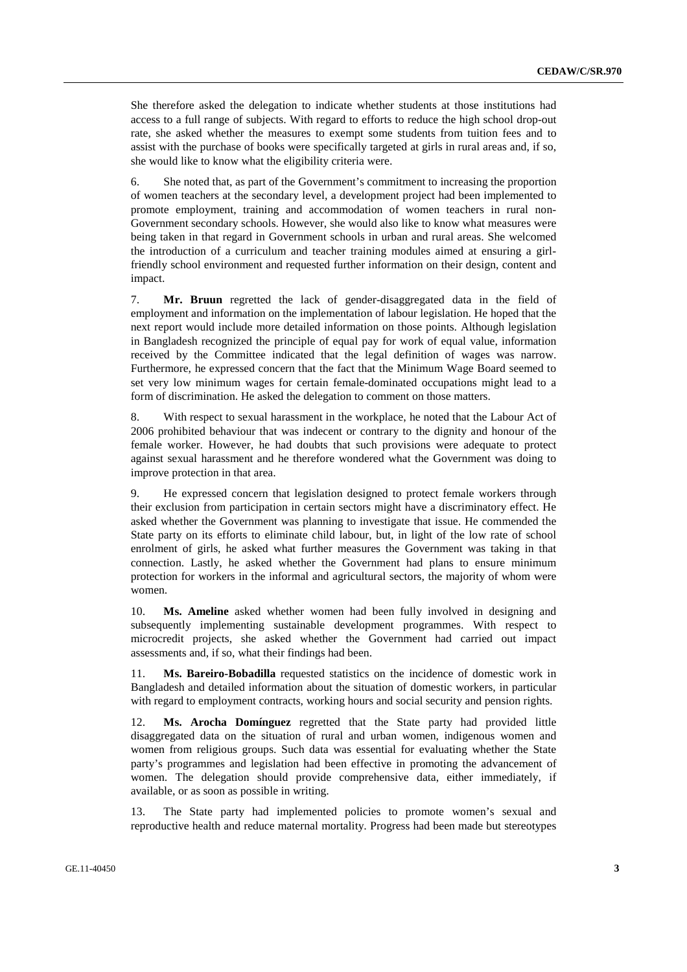She therefore asked the delegation to indicate whether students at those institutions had access to a full range of subjects. With regard to efforts to reduce the high school drop-out rate, she asked whether the measures to exempt some students from tuition fees and to assist with the purchase of books were specifically targeted at girls in rural areas and, if so, she would like to know what the eligibility criteria were.

6. She noted that, as part of the Government's commitment to increasing the proportion of women teachers at the secondary level, a development project had been implemented to promote employment, training and accommodation of women teachers in rural non-Government secondary schools. However, she would also like to know what measures were being taken in that regard in Government schools in urban and rural areas. She welcomed the introduction of a curriculum and teacher training modules aimed at ensuring a girlfriendly school environment and requested further information on their design, content and impact.

7. **Mr. Bruun** regretted the lack of gender-disaggregated data in the field of employment and information on the implementation of labour legislation. He hoped that the next report would include more detailed information on those points. Although legislation in Bangladesh recognized the principle of equal pay for work of equal value, information received by the Committee indicated that the legal definition of wages was narrow. Furthermore, he expressed concern that the fact that the Minimum Wage Board seemed to set very low minimum wages for certain female-dominated occupations might lead to a form of discrimination. He asked the delegation to comment on those matters.

8. With respect to sexual harassment in the workplace, he noted that the Labour Act of 2006 prohibited behaviour that was indecent or contrary to the dignity and honour of the female worker. However, he had doubts that such provisions were adequate to protect against sexual harassment and he therefore wondered what the Government was doing to improve protection in that area.

9. He expressed concern that legislation designed to protect female workers through their exclusion from participation in certain sectors might have a discriminatory effect. He asked whether the Government was planning to investigate that issue. He commended the State party on its efforts to eliminate child labour, but, in light of the low rate of school enrolment of girls, he asked what further measures the Government was taking in that connection. Lastly, he asked whether the Government had plans to ensure minimum protection for workers in the informal and agricultural sectors, the majority of whom were women.

10. **Ms. Ameline** asked whether women had been fully involved in designing and subsequently implementing sustainable development programmes. With respect to microcredit projects, she asked whether the Government had carried out impact assessments and, if so, what their findings had been.

11. **Ms. Bareiro-Bobadilla** requested statistics on the incidence of domestic work in Bangladesh and detailed information about the situation of domestic workers, in particular with regard to employment contracts, working hours and social security and pension rights.

12. **Ms. Arocha Domínguez** regretted that the State party had provided little disaggregated data on the situation of rural and urban women, indigenous women and women from religious groups. Such data was essential for evaluating whether the State party's programmes and legislation had been effective in promoting the advancement of women. The delegation should provide comprehensive data, either immediately, if available, or as soon as possible in writing.

13. The State party had implemented policies to promote women's sexual and reproductive health and reduce maternal mortality. Progress had been made but stereotypes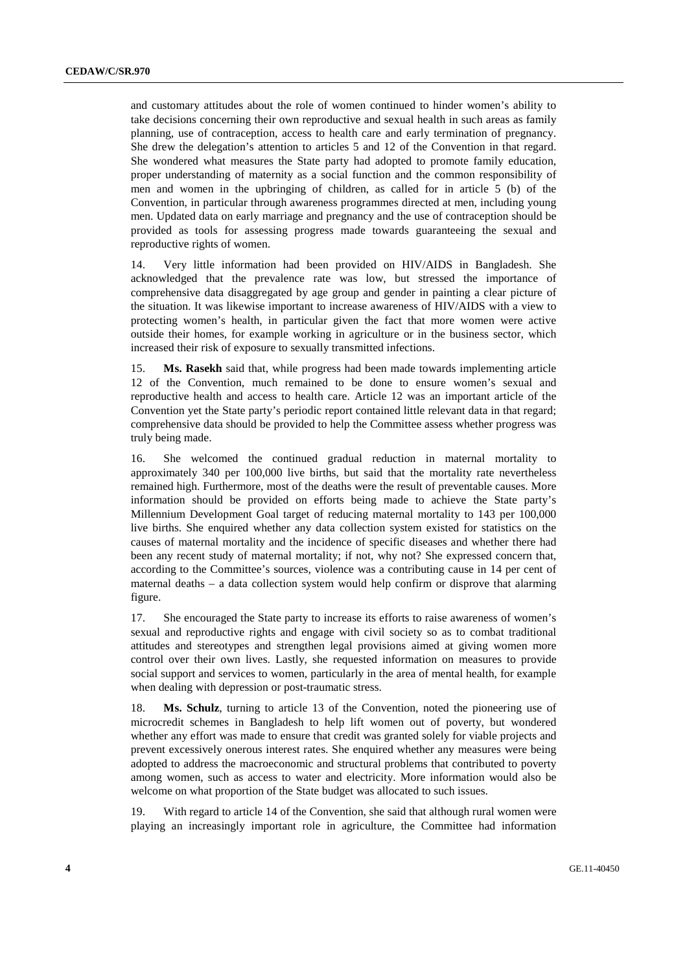and customary attitudes about the role of women continued to hinder women's ability to take decisions concerning their own reproductive and sexual health in such areas as family planning, use of contraception, access to health care and early termination of pregnancy. She drew the delegation's attention to articles 5 and 12 of the Convention in that regard. She wondered what measures the State party had adopted to promote family education, proper understanding of maternity as a social function and the common responsibility of men and women in the upbringing of children, as called for in article 5 (b) of the Convention, in particular through awareness programmes directed at men, including young men. Updated data on early marriage and pregnancy and the use of contraception should be provided as tools for assessing progress made towards guaranteeing the sexual and reproductive rights of women.

14. Very little information had been provided on HIV/AIDS in Bangladesh. She acknowledged that the prevalence rate was low, but stressed the importance of comprehensive data disaggregated by age group and gender in painting a clear picture of the situation. It was likewise important to increase awareness of HIV/AIDS with a view to protecting women's health, in particular given the fact that more women were active outside their homes, for example working in agriculture or in the business sector, which increased their risk of exposure to sexually transmitted infections.

15. **Ms. Rasekh** said that, while progress had been made towards implementing article 12 of the Convention, much remained to be done to ensure women's sexual and reproductive health and access to health care. Article 12 was an important article of the Convention yet the State party's periodic report contained little relevant data in that regard; comprehensive data should be provided to help the Committee assess whether progress was truly being made.

16. She welcomed the continued gradual reduction in maternal mortality to approximately 340 per 100,000 live births, but said that the mortality rate nevertheless remained high. Furthermore, most of the deaths were the result of preventable causes. More information should be provided on efforts being made to achieve the State party's Millennium Development Goal target of reducing maternal mortality to 143 per 100,000 live births. She enquired whether any data collection system existed for statistics on the causes of maternal mortality and the incidence of specific diseases and whether there had been any recent study of maternal mortality; if not, why not? She expressed concern that, according to the Committee's sources, violence was a contributing cause in 14 per cent of maternal deaths – a data collection system would help confirm or disprove that alarming figure.

17. She encouraged the State party to increase its efforts to raise awareness of women's sexual and reproductive rights and engage with civil society so as to combat traditional attitudes and stereotypes and strengthen legal provisions aimed at giving women more control over their own lives. Lastly, she requested information on measures to provide social support and services to women, particularly in the area of mental health, for example when dealing with depression or post-traumatic stress.

18. **Ms. Schulz**, turning to article 13 of the Convention, noted the pioneering use of microcredit schemes in Bangladesh to help lift women out of poverty, but wondered whether any effort was made to ensure that credit was granted solely for viable projects and prevent excessively onerous interest rates. She enquired whether any measures were being adopted to address the macroeconomic and structural problems that contributed to poverty among women, such as access to water and electricity. More information would also be welcome on what proportion of the State budget was allocated to such issues.

19. With regard to article 14 of the Convention, she said that although rural women were playing an increasingly important role in agriculture, the Committee had information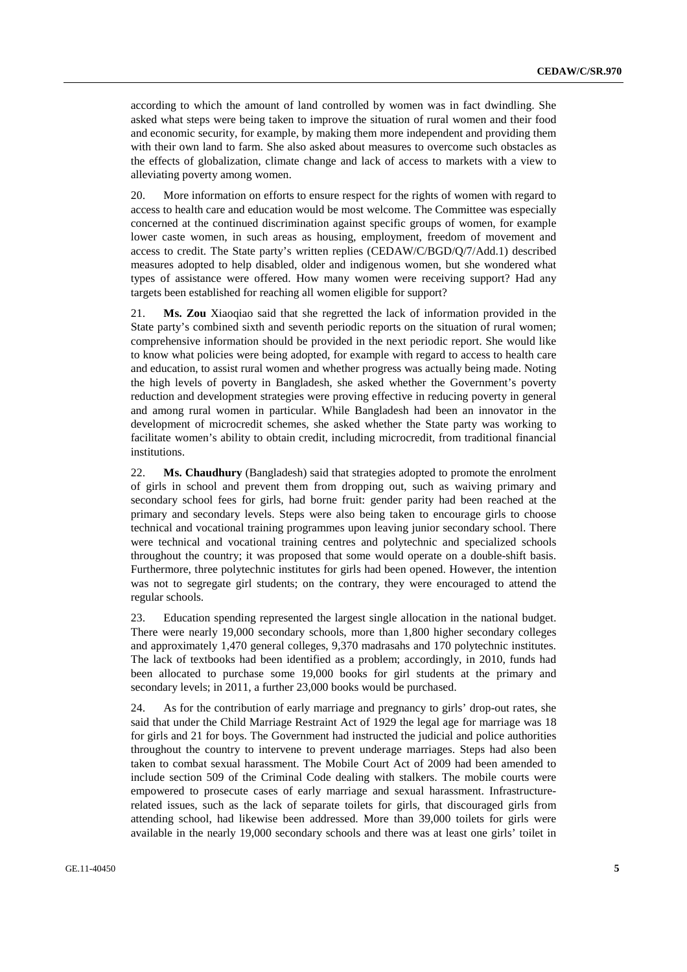according to which the amount of land controlled by women was in fact dwindling. She asked what steps were being taken to improve the situation of rural women and their food and economic security, for example, by making them more independent and providing them with their own land to farm. She also asked about measures to overcome such obstacles as the effects of globalization, climate change and lack of access to markets with a view to alleviating poverty among women.

20. More information on efforts to ensure respect for the rights of women with regard to access to health care and education would be most welcome. The Committee was especially concerned at the continued discrimination against specific groups of women, for example lower caste women, in such areas as housing, employment, freedom of movement and access to credit. The State party's written replies (CEDAW/C/BGD/Q/7/Add.1) described measures adopted to help disabled, older and indigenous women, but she wondered what types of assistance were offered. How many women were receiving support? Had any targets been established for reaching all women eligible for support?

21. **Ms. Zou** Xiaoqiao said that she regretted the lack of information provided in the State party's combined sixth and seventh periodic reports on the situation of rural women; comprehensive information should be provided in the next periodic report. She would like to know what policies were being adopted, for example with regard to access to health care and education, to assist rural women and whether progress was actually being made. Noting the high levels of poverty in Bangladesh, she asked whether the Government's poverty reduction and development strategies were proving effective in reducing poverty in general and among rural women in particular. While Bangladesh had been an innovator in the development of microcredit schemes, she asked whether the State party was working to facilitate women's ability to obtain credit, including microcredit, from traditional financial institutions.

22. **Ms. Chaudhury** (Bangladesh) said that strategies adopted to promote the enrolment of girls in school and prevent them from dropping out, such as waiving primary and secondary school fees for girls, had borne fruit: gender parity had been reached at the primary and secondary levels. Steps were also being taken to encourage girls to choose technical and vocational training programmes upon leaving junior secondary school. There were technical and vocational training centres and polytechnic and specialized schools throughout the country; it was proposed that some would operate on a double-shift basis. Furthermore, three polytechnic institutes for girls had been opened. However, the intention was not to segregate girl students; on the contrary, they were encouraged to attend the regular schools.

23. Education spending represented the largest single allocation in the national budget. There were nearly 19,000 secondary schools, more than 1,800 higher secondary colleges and approximately 1,470 general colleges, 9,370 madrasahs and 170 polytechnic institutes. The lack of textbooks had been identified as a problem; accordingly, in 2010, funds had been allocated to purchase some 19,000 books for girl students at the primary and secondary levels; in 2011, a further 23,000 books would be purchased.

24. As for the contribution of early marriage and pregnancy to girls' drop-out rates, she said that under the Child Marriage Restraint Act of 1929 the legal age for marriage was 18 for girls and 21 for boys. The Government had instructed the judicial and police authorities throughout the country to intervene to prevent underage marriages. Steps had also been taken to combat sexual harassment. The Mobile Court Act of 2009 had been amended to include section 509 of the Criminal Code dealing with stalkers. The mobile courts were empowered to prosecute cases of early marriage and sexual harassment. Infrastructurerelated issues, such as the lack of separate toilets for girls, that discouraged girls from attending school, had likewise been addressed. More than 39,000 toilets for girls were available in the nearly 19,000 secondary schools and there was at least one girls' toilet in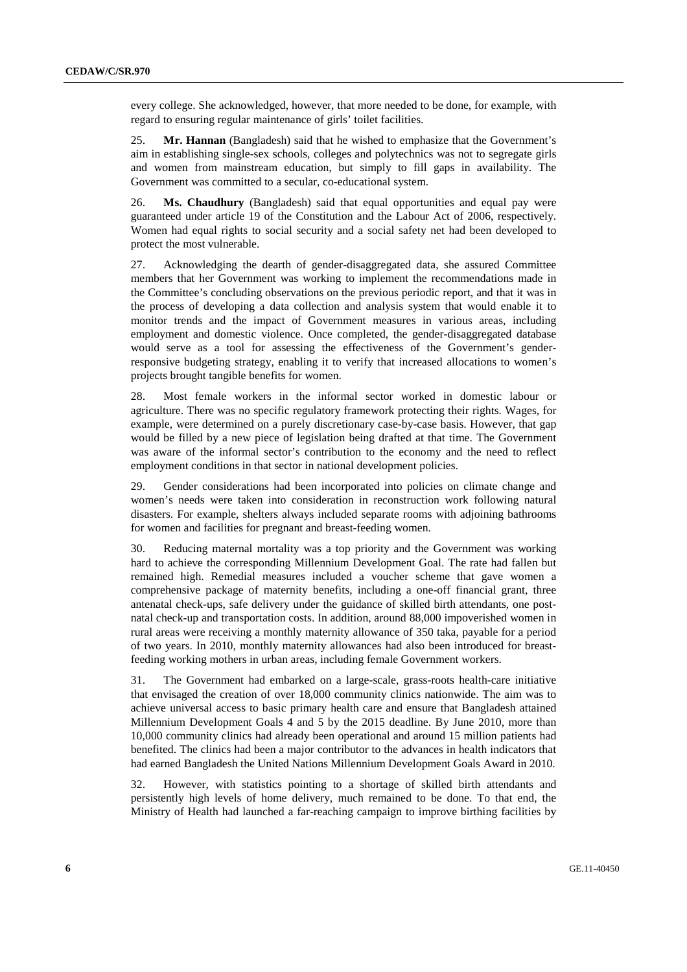every college. She acknowledged, however, that more needed to be done, for example, with regard to ensuring regular maintenance of girls' toilet facilities.

25. **Mr. Hannan** (Bangladesh) said that he wished to emphasize that the Government's aim in establishing single-sex schools, colleges and polytechnics was not to segregate girls and women from mainstream education, but simply to fill gaps in availability. The Government was committed to a secular, co-educational system.

26. **Ms. Chaudhury** (Bangladesh) said that equal opportunities and equal pay were guaranteed under article 19 of the Constitution and the Labour Act of 2006, respectively. Women had equal rights to social security and a social safety net had been developed to protect the most vulnerable.

27. Acknowledging the dearth of gender-disaggregated data, she assured Committee members that her Government was working to implement the recommendations made in the Committee's concluding observations on the previous periodic report, and that it was in the process of developing a data collection and analysis system that would enable it to monitor trends and the impact of Government measures in various areas, including employment and domestic violence. Once completed, the gender-disaggregated database would serve as a tool for assessing the effectiveness of the Government's genderresponsive budgeting strategy, enabling it to verify that increased allocations to women's projects brought tangible benefits for women.

28. Most female workers in the informal sector worked in domestic labour or agriculture. There was no specific regulatory framework protecting their rights. Wages, for example, were determined on a purely discretionary case-by-case basis. However, that gap would be filled by a new piece of legislation being drafted at that time. The Government was aware of the informal sector's contribution to the economy and the need to reflect employment conditions in that sector in national development policies.

29. Gender considerations had been incorporated into policies on climate change and women's needs were taken into consideration in reconstruction work following natural disasters. For example, shelters always included separate rooms with adjoining bathrooms for women and facilities for pregnant and breast-feeding women.

30. Reducing maternal mortality was a top priority and the Government was working hard to achieve the corresponding Millennium Development Goal. The rate had fallen but remained high. Remedial measures included a voucher scheme that gave women a comprehensive package of maternity benefits, including a one-off financial grant, three antenatal check-ups, safe delivery under the guidance of skilled birth attendants, one postnatal check-up and transportation costs. In addition, around 88,000 impoverished women in rural areas were receiving a monthly maternity allowance of 350 taka, payable for a period of two years. In 2010, monthly maternity allowances had also been introduced for breastfeeding working mothers in urban areas, including female Government workers.

31. The Government had embarked on a large-scale, grass-roots health-care initiative that envisaged the creation of over 18,000 community clinics nationwide. The aim was to achieve universal access to basic primary health care and ensure that Bangladesh attained Millennium Development Goals 4 and 5 by the 2015 deadline. By June 2010, more than 10,000 community clinics had already been operational and around 15 million patients had benefited. The clinics had been a major contributor to the advances in health indicators that had earned Bangladesh the United Nations Millennium Development Goals Award in 2010.

32. However, with statistics pointing to a shortage of skilled birth attendants and persistently high levels of home delivery, much remained to be done. To that end, the Ministry of Health had launched a far-reaching campaign to improve birthing facilities by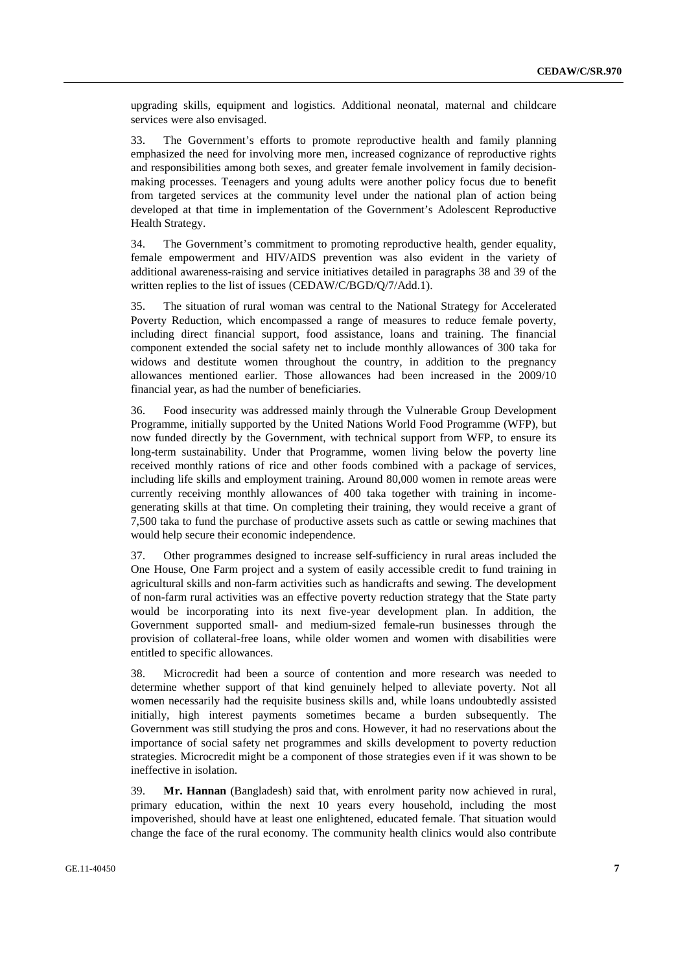upgrading skills, equipment and logistics. Additional neonatal, maternal and childcare services were also envisaged.

33. The Government's efforts to promote reproductive health and family planning emphasized the need for involving more men, increased cognizance of reproductive rights and responsibilities among both sexes, and greater female involvement in family decisionmaking processes. Teenagers and young adults were another policy focus due to benefit from targeted services at the community level under the national plan of action being developed at that time in implementation of the Government's Adolescent Reproductive Health Strategy.

34. The Government's commitment to promoting reproductive health, gender equality, female empowerment and HIV/AIDS prevention was also evident in the variety of additional awareness-raising and service initiatives detailed in paragraphs 38 and 39 of the written replies to the list of issues (CEDAW/C/BGD/O/7/Add.1).

35. The situation of rural woman was central to the National Strategy for Accelerated Poverty Reduction, which encompassed a range of measures to reduce female poverty, including direct financial support, food assistance, loans and training. The financial component extended the social safety net to include monthly allowances of 300 taka for widows and destitute women throughout the country, in addition to the pregnancy allowances mentioned earlier. Those allowances had been increased in the 2009/10 financial year, as had the number of beneficiaries.

36. Food insecurity was addressed mainly through the Vulnerable Group Development Programme, initially supported by the United Nations World Food Programme (WFP), but now funded directly by the Government, with technical support from WFP, to ensure its long-term sustainability. Under that Programme, women living below the poverty line received monthly rations of rice and other foods combined with a package of services, including life skills and employment training. Around 80,000 women in remote areas were currently receiving monthly allowances of 400 taka together with training in incomegenerating skills at that time. On completing their training, they would receive a grant of 7,500 taka to fund the purchase of productive assets such as cattle or sewing machines that would help secure their economic independence.

37. Other programmes designed to increase self-sufficiency in rural areas included the One House, One Farm project and a system of easily accessible credit to fund training in agricultural skills and non-farm activities such as handicrafts and sewing. The development of non-farm rural activities was an effective poverty reduction strategy that the State party would be incorporating into its next five-year development plan. In addition, the Government supported small- and medium-sized female-run businesses through the provision of collateral-free loans, while older women and women with disabilities were entitled to specific allowances.

38. Microcredit had been a source of contention and more research was needed to determine whether support of that kind genuinely helped to alleviate poverty. Not all women necessarily had the requisite business skills and, while loans undoubtedly assisted initially, high interest payments sometimes became a burden subsequently. The Government was still studying the pros and cons. However, it had no reservations about the importance of social safety net programmes and skills development to poverty reduction strategies. Microcredit might be a component of those strategies even if it was shown to be ineffective in isolation.

39. **Mr. Hannan** (Bangladesh) said that, with enrolment parity now achieved in rural, primary education, within the next 10 years every household, including the most impoverished, should have at least one enlightened, educated female. That situation would change the face of the rural economy. The community health clinics would also contribute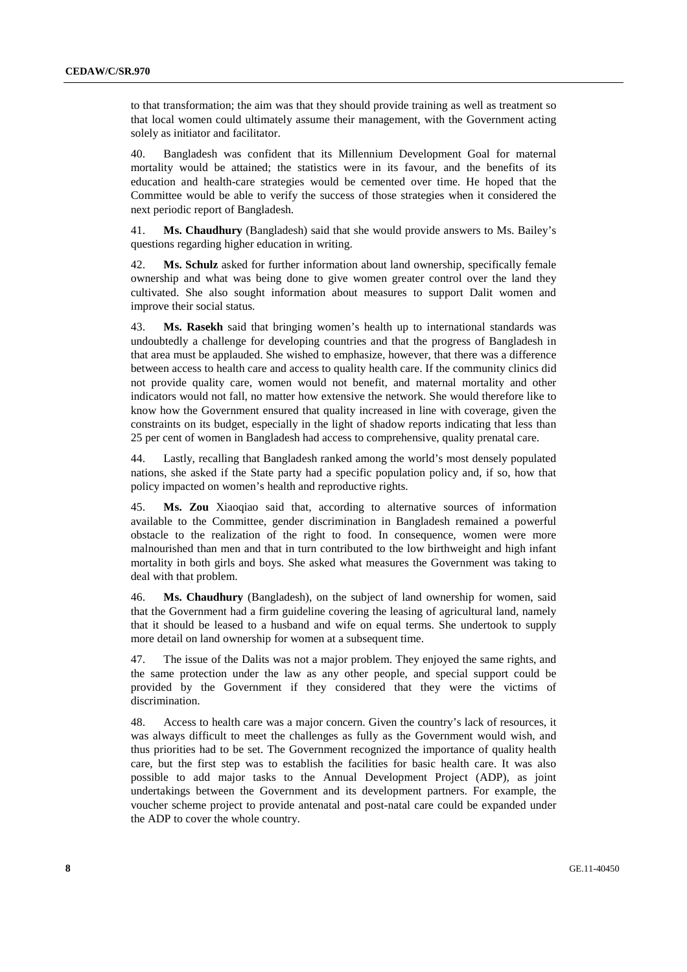to that transformation; the aim was that they should provide training as well as treatment so that local women could ultimately assume their management, with the Government acting solely as initiator and facilitator.

40. Bangladesh was confident that its Millennium Development Goal for maternal mortality would be attained; the statistics were in its favour, and the benefits of its education and health-care strategies would be cemented over time. He hoped that the Committee would be able to verify the success of those strategies when it considered the next periodic report of Bangladesh.

41. **Ms. Chaudhury** (Bangladesh) said that she would provide answers to Ms. Bailey's questions regarding higher education in writing.

42. **Ms. Schulz** asked for further information about land ownership, specifically female ownership and what was being done to give women greater control over the land they cultivated. She also sought information about measures to support Dalit women and improve their social status.

43. **Ms. Rasekh** said that bringing women's health up to international standards was undoubtedly a challenge for developing countries and that the progress of Bangladesh in that area must be applauded. She wished to emphasize, however, that there was a difference between access to health care and access to quality health care. If the community clinics did not provide quality care, women would not benefit, and maternal mortality and other indicators would not fall, no matter how extensive the network. She would therefore like to know how the Government ensured that quality increased in line with coverage, given the constraints on its budget, especially in the light of shadow reports indicating that less than 25 per cent of women in Bangladesh had access to comprehensive, quality prenatal care.

44. Lastly, recalling that Bangladesh ranked among the world's most densely populated nations, she asked if the State party had a specific population policy and, if so, how that policy impacted on women's health and reproductive rights.

45. **Ms. Zou** Xiaoqiao said that, according to alternative sources of information available to the Committee, gender discrimination in Bangladesh remained a powerful obstacle to the realization of the right to food. In consequence, women were more malnourished than men and that in turn contributed to the low birthweight and high infant mortality in both girls and boys. She asked what measures the Government was taking to deal with that problem.

46. **Ms. Chaudhury** (Bangladesh), on the subject of land ownership for women, said that the Government had a firm guideline covering the leasing of agricultural land, namely that it should be leased to a husband and wife on equal terms. She undertook to supply more detail on land ownership for women at a subsequent time.

47. The issue of the Dalits was not a major problem. They enjoyed the same rights, and the same protection under the law as any other people, and special support could be provided by the Government if they considered that they were the victims of discrimination.

48. Access to health care was a major concern. Given the country's lack of resources, it was always difficult to meet the challenges as fully as the Government would wish, and thus priorities had to be set. The Government recognized the importance of quality health care, but the first step was to establish the facilities for basic health care. It was also possible to add major tasks to the Annual Development Project (ADP), as joint undertakings between the Government and its development partners. For example, the voucher scheme project to provide antenatal and post-natal care could be expanded under the ADP to cover the whole country.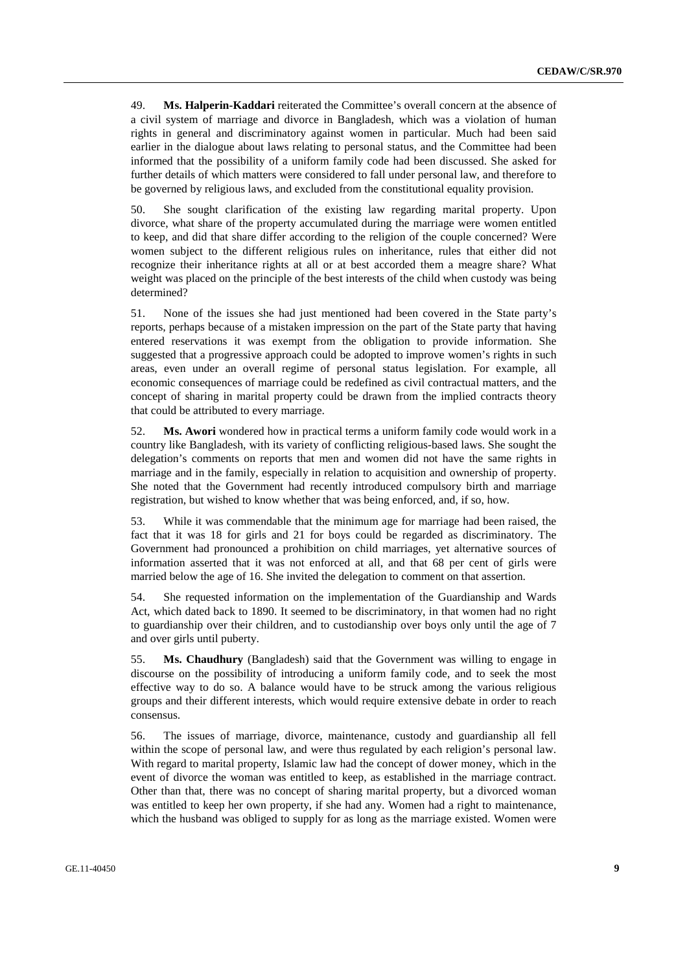49. **Ms. Halperin-Kaddari** reiterated the Committee's overall concern at the absence of a civil system of marriage and divorce in Bangladesh, which was a violation of human rights in general and discriminatory against women in particular. Much had been said earlier in the dialogue about laws relating to personal status, and the Committee had been informed that the possibility of a uniform family code had been discussed. She asked for further details of which matters were considered to fall under personal law, and therefore to be governed by religious laws, and excluded from the constitutional equality provision.

50. She sought clarification of the existing law regarding marital property. Upon divorce, what share of the property accumulated during the marriage were women entitled to keep, and did that share differ according to the religion of the couple concerned? Were women subject to the different religious rules on inheritance, rules that either did not recognize their inheritance rights at all or at best accorded them a meagre share? What weight was placed on the principle of the best interests of the child when custody was being determined?

51. None of the issues she had just mentioned had been covered in the State party's reports, perhaps because of a mistaken impression on the part of the State party that having entered reservations it was exempt from the obligation to provide information. She suggested that a progressive approach could be adopted to improve women's rights in such areas, even under an overall regime of personal status legislation. For example, all economic consequences of marriage could be redefined as civil contractual matters, and the concept of sharing in marital property could be drawn from the implied contracts theory that could be attributed to every marriage.

52. **Ms. Awori** wondered how in practical terms a uniform family code would work in a country like Bangladesh, with its variety of conflicting religious-based laws. She sought the delegation's comments on reports that men and women did not have the same rights in marriage and in the family, especially in relation to acquisition and ownership of property. She noted that the Government had recently introduced compulsory birth and marriage registration, but wished to know whether that was being enforced, and, if so, how.

53. While it was commendable that the minimum age for marriage had been raised, the fact that it was 18 for girls and 21 for boys could be regarded as discriminatory. The Government had pronounced a prohibition on child marriages, yet alternative sources of information asserted that it was not enforced at all, and that 68 per cent of girls were married below the age of 16. She invited the delegation to comment on that assertion.

54. She requested information on the implementation of the Guardianship and Wards Act, which dated back to 1890. It seemed to be discriminatory, in that women had no right to guardianship over their children, and to custodianship over boys only until the age of 7 and over girls until puberty.

55. **Ms. Chaudhury** (Bangladesh) said that the Government was willing to engage in discourse on the possibility of introducing a uniform family code, and to seek the most effective way to do so. A balance would have to be struck among the various religious groups and their different interests, which would require extensive debate in order to reach consensus.

56. The issues of marriage, divorce, maintenance, custody and guardianship all fell within the scope of personal law, and were thus regulated by each religion's personal law. With regard to marital property, Islamic law had the concept of dower money, which in the event of divorce the woman was entitled to keep, as established in the marriage contract. Other than that, there was no concept of sharing marital property, but a divorced woman was entitled to keep her own property, if she had any. Women had a right to maintenance, which the husband was obliged to supply for as long as the marriage existed. Women were